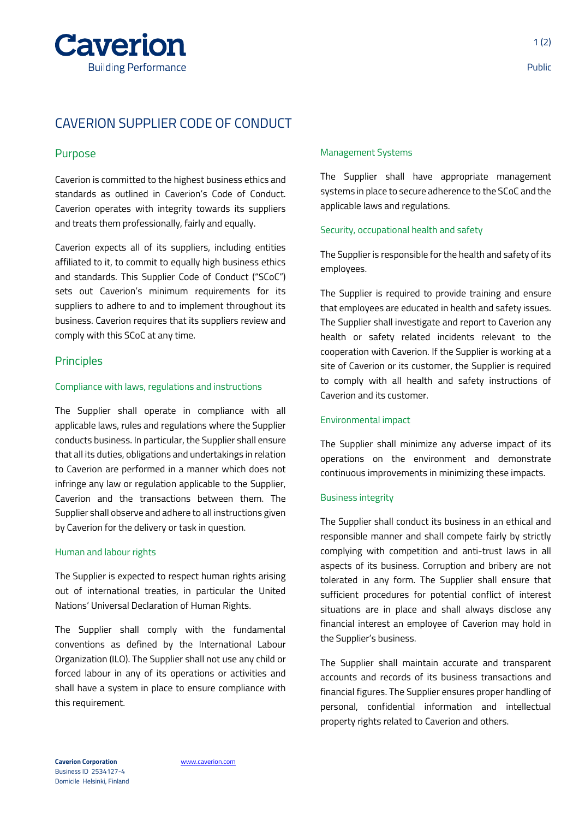

# CAVERION SUPPLIER CODE OF CONDUCT

# Purpose

Caverion is committed to the highest business ethics and standards as outlined in Caverion's Code of Conduct. Caverion operates with integrity towards its suppliers and treats them professionally, fairly and equally.

Caverion expects all of its suppliers, including entities affiliated to it, to commit to equally high business ethics and standards. This Supplier Code of Conduct ("SCoC") sets out Caverion's minimum requirements for its suppliers to adhere to and to implement throughout its business. Caverion requires that its suppliers review and comply with this SCoC at any time.

# **Principles**

#### Compliance with laws, regulations and instructions

The Supplier shall operate in compliance with all applicable laws, rules and regulations where the Supplier conducts business. In particular, the Supplier shall ensure that all its duties, obligations and undertakings in relation to Caverion are performed in a manner which does not infringe any law or regulation applicable to the Supplier, Caverion and the transactions between them. The Supplier shall observe and adhere to all instructions given by Caverion for the delivery or task in question.

#### Human and labour rights

The Supplier is expected to respect human rights arising out of international treaties, in particular the United Nations' Universal Declaration of Human Rights.

The Supplier shall comply with the fundamental conventions as defined by the International Labour Organization (ILO). The Supplier shall not use any child or forced labour in any of its operations or activities and shall have a system in place to ensure compliance with this requirement.

#### Management Systems

The Supplier shall have appropriate management systems in place to secure adherence to the SCoC and the applicable laws and regulations.

#### Security, occupational health and safety

The Supplier is responsible for the health and safety of its employees.

The Supplier is required to provide training and ensure that employees are educated in health and safety issues. The Supplier shall investigate and report to Caverion any health or safety related incidents relevant to the cooperation with Caverion. If the Supplier is working at a site of Caverion or its customer, the Supplier is required to comply with all health and safety instructions of Caverion and its customer.

## Environmental impact

The Supplier shall minimize any adverse impact of its operations on the environment and demonstrate continuous improvements in minimizing these impacts.

## Business integrity

The Supplier shall conduct its business in an ethical and responsible manner and shall compete fairly by strictly complying with competition and anti-trust laws in all aspects of its business. Corruption and bribery are not tolerated in any form. The Supplier shall ensure that sufficient procedures for potential conflict of interest situations are in place and shall always disclose any financial interest an employee of Caverion may hold in the Supplier's business.

The Supplier shall maintain accurate and transparent accounts and records of its business transactions and financial figures. The Supplier ensures proper handling of personal, confidential information and intellectual property rights related to Caverion and others.

**Caverion Corporation** [www.caverion.com](http://www.caverion.com/) Business ID 2534127-4 Domicile Helsinki, Finland